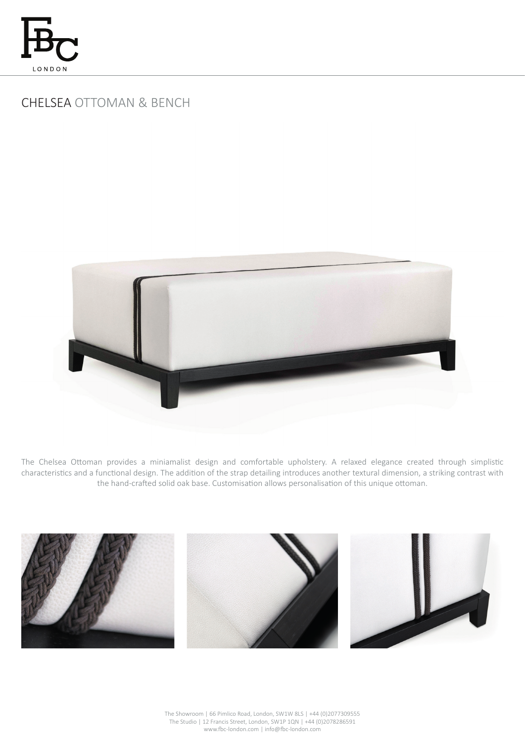

# CHELSEA OTTOMAN & BENCH



The Chelsea Ottoman provides a miniamalist design and comfortable upholstery. A relaxed elegance created through simplistic characteristics and a functional design. The addition of the strap detailing introduces another textural dimension, a striking contrast with the hand-crafted solid oak base. Customisation allows personalisation of this unique ottoman.